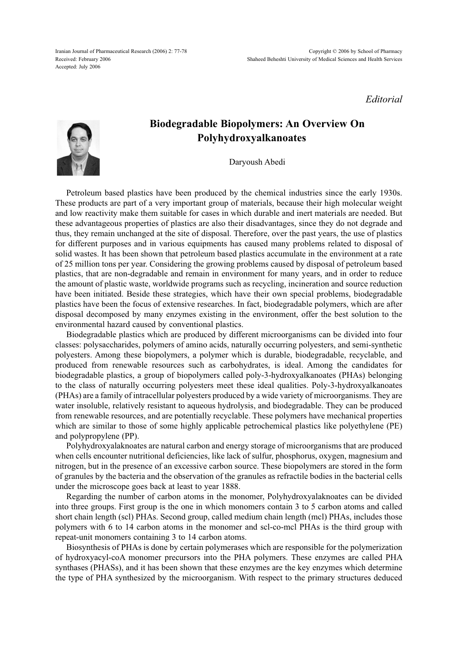Iranian Journal of Pharmaceutical Research (2006) 2: 77-78 Received: February 2006 Accepted: July 2006

*Editorial*



## **Biodegradable Biopolymers: An Overview On Polyhydroxyalkanoates**

Daryoush Abedi

Petroleum based plastics have been produced by the chemical industries since the early 1930s. These products are part of a very important group of materials, because their high molecular weight and low reactivity make them suitable for cases in which durable and inert materials are needed. But these advantageous properties of plastics are also their disadvantages, since they do not degrade and thus, they remain unchanged at the site of disposal. Therefore, over the past years, the use of plastics for different purposes and in various equipments has caused many problems related to disposal of solid wastes. It has been shown that petroleum based plastics accumulate in the environment at a rate of 25 million tons per year. Considering the growing problems caused by disposal of petroleum based plastics, that are non-degradable and remain in environment for many years, and in order to reduce the amount of plastic waste, worldwide programs such as recycling, incineration and source reduction have been initiated. Beside these strategies, which have their own special problems, biodegradable plastics have been the focus of extensive researches. In fact, biodegradable polymers, which are after disposal decomposed by many enzymes existing in the environment, offer the best solution to the environmental hazard caused by conventional plastics.

Biodegradable plastics which are produced by different microorganisms can be divided into four classes: polysaccharides, polymers of amino acids, naturally occurring polyesters, and semi-synthetic polyesters. Among these biopolymers, a polymer which is durable, biodegradable, recyclable, and produced from renewable resources such as carbohydrates, is ideal. Among the candidates for biodegradable plastics, a group of biopolymers called poly-3-hydroxyalkanoates (PHAs) belonging to the class of naturally occurring polyesters meet these ideal qualities. Poly-3-hydroxyalkanoates (PHAs) are a family of intracellular polyesters produced by a wide variety of microorganisms. They are water insoluble, relatively resistant to aqueous hydrolysis, and biodegradable. They can be produced from renewable resources, and are potentially recyclable. These polymers have mechanical properties which are similar to those of some highly applicable petrochemical plastics like polyethylene (PE) and polypropylene (PP).

Polyhydroxyalaknoates are natural carbon and energy storage of microorganisms that are produced when cells encounter nutritional deficiencies, like lack of sulfur, phosphorus, oxygen, magnesium and nitrogen, but in the presence of an excessive carbon source. These biopolymers are stored in the form of granules by the bacteria and the observation of the granules as refractile bodies in the bacterial cells under the microscope goes back at least to year 1888.

Regarding the number of carbon atoms in the monomer, Polyhydroxyalaknoates can be divided into three groups. First group is the one in which monomers contain 3 to 5 carbon atoms and called short chain length (scl) PHAs. Second group, called medium chain length (mcl) PHAs, includes those polymers with 6 to 14 carbon atoms in the monomer and scl-co-mcl PHAs is the third group with repeat-unit monomers containing 3 to 14 carbon atoms.

Biosynthesis of PHAs is done by certain polymerases which are responsible for the polymerization of hydroxyacyl-coA monomer precursors into the PHA polymers. These enzymes are called PHA synthases (PHASs), and it has been shown that these enzymes are the key enzymes which determine the type of PHA synthesized by the microorganism. With respect to the primary structures deduced